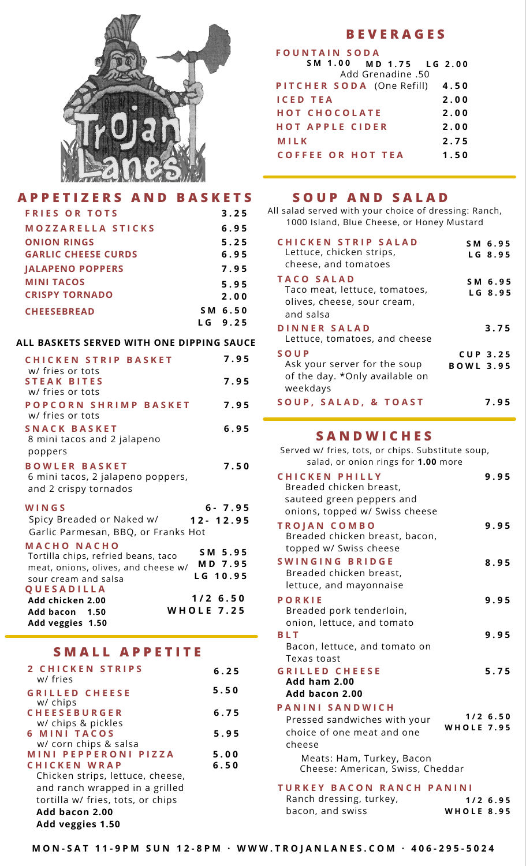

## APPETIZERS AND BASKETS SOUP AND SALAD

| <b>FRIES OR TOTS</b>       | 3.25    |
|----------------------------|---------|
| MOZZARELLA STICKS          | 6.95    |
| <b>ONION RINGS</b>         | 5.25    |
| <b>GARLIC CHEESE CURDS</b> | 6.95    |
| <b>JALAPENO POPPERS</b>    | 7.95    |
| <b>MINI TACOS</b>          | 5.95    |
| <b>CRISPY TORNADO</b>      | 2.00    |
| <b>CHEESEBREAD</b>         | SM 6.50 |
|                            | LG 9.25 |

### **ALL BASKETS SERVED WITH ONE DIPPING SAUCE**

| <b>CHICKEN STRIP BASKET</b>                                                                                              | 7.95                           |
|--------------------------------------------------------------------------------------------------------------------------|--------------------------------|
| w/ fries or tots<br><b>STEAK BITES</b><br>w/ fries or tots                                                               | 7.95                           |
| POPCORN SHRIMP BASKET<br>w/ fries or tots                                                                                | 7.95                           |
| SNACK BASKET<br>8 mini tacos and 2 jalapeno<br>poppers                                                                   | 6.95                           |
| <b>BOWLER BASKET</b><br>6 mini tacos, 2 jalapeno poppers,<br>and 2 crispy tornados                                       | 7.50                           |
| WINGS<br>Spicy Breaded or Naked w/<br>$12 - 12.95$<br>Garlic Parmesan, BBQ, or Franks Hot                                | $6 - 7.95$                     |
| <b>MACHO NACHO</b><br>Tortilla chips, refried beans, taco<br>meat, onions, olives, and cheese w/<br>sour cream and salsa | SM 5.95<br>MD 7.95<br>LG 10.95 |
| QUESADILLA<br>$1/2$ 6.50<br>Add chicken 2.00<br><b>WHOLE 7.25</b><br>Add bacon 1.50<br>Add veggies 1.50                  |                                |

# **S M A L L A P P E T I T E**

| 2 CHICKEN STRIPS<br>w/ fries      | 6.25 |
|-----------------------------------|------|
| <b>GRILLED CHEESE</b>             | 5.50 |
| w/ chips                          |      |
| <b>CHEESEBURGER</b>               | 6.75 |
| w/ chips & pickles                |      |
| <b>6 MINI TACOS</b>               | 5.95 |
| w/ corn chips & salsa             |      |
| MINI PEPPERONI PIZZA              | 5.00 |
| CHICKEN WRAP                      | 6.50 |
| Chicken strips, lettuce, cheese,  |      |
| and ranch wrapped in a grilled    |      |
| tortilla w/ fries, tots, or chips |      |
| Add bacon 2.00                    |      |
| Add veggies 1.50                  |      |

## **B E V E R A G E S**

| <b>FOUNTAIN SODA</b>           |      |
|--------------------------------|------|
| SM 1.00 MD 1.75 LG 2.00        |      |
| Add Grenadine .50              |      |
| PITCHER SODA (One Refill) 4.50 |      |
| <b>ICED TEA</b>                | 2.00 |
| <b>HOT CHOCOLATE</b>           | 2.00 |
| <b>HOT APPLE CIDER</b>         | 2.00 |
| MILK                           | 2.75 |
| <b>COFFEE OR HOT TEA</b>       | 1.50 |

All salad served with your choice of dressing: Ranch, 1000 Island, Blue Cheese, or Honey Mustard

| <b>CHICKEN STRIP SALAD</b><br>Lettuce, chicken strips,<br>cheese, and tomatoes                 | SM 6.95<br>LG 8.95                  |
|------------------------------------------------------------------------------------------------|-------------------------------------|
| <b>TACO SALAD</b><br>Taco meat, lettuce, tomatoes,<br>olives, cheese, sour cream,<br>and salsa | SM 6.95<br>LG 8.95                  |
| DINNER SALAD<br>Lettuce, tomatoes, and cheese                                                  | 3.75                                |
| SOUP<br>Ask your server for the soup<br>of the day. *Only available on<br>weekdays             | <b>CUP 3.25</b><br><b>BOWL 3.95</b> |
| SOUP, SALAD, & TOAST                                                                           | 7.95                                |

### **S A N D W I C H E S**

Served w/ fries, tots, or chips. Substitute soup, salad, or onion rings for **1.00** more

| <b>CHICKEN PHILLY</b><br>Breaded chicken breast,                                        | 9.95                                      |
|-----------------------------------------------------------------------------------------|-------------------------------------------|
| sauteed green peppers and                                                               |                                           |
| onions, topped w/ Swiss cheese                                                          |                                           |
| <b>TROJAN COMBO</b><br>Breaded chicken breast, bacon,<br>topped w/ Swiss cheese         | 9.95                                      |
| SWINGING BRIDGE<br>Breaded chicken breast,<br>lettuce, and mayonnaise                   | 8.95                                      |
| PORKIE<br>Breaded pork tenderloin,<br>onion, lettuce, and tomato                        | 9.95                                      |
| <b>BLT</b><br>Bacon, lettuce, and tomato on<br>Texas toast                              | 9.95                                      |
| <b>GRILLED CHEESE</b><br>Add ham 2.00<br>Add bacon 2.00                                 | 5.75                                      |
| PANINI SANDWICH<br>Pressed sandwiches with your<br>choice of one meat and one<br>cheese | $1/2$ 6.50<br><b>WHOLE 7.95</b>           |
| Meats: Ham, Turkey, Bacon<br>Cheese: American, Swiss, Cheddar                           |                                           |
| TURKEY BACON RANCH<br>Ranch dressing, turkey,<br>bacon, and swiss                       | PANINI<br>$1/2$ 6.95<br><b>WHOLE 8.95</b> |